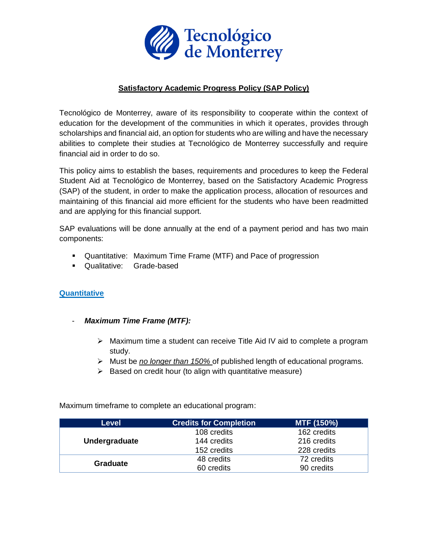

### **Satisfactory Academic Progress Policy (SAP Policy)**

Tecnológico de Monterrey, aware of its responsibility to cooperate within the context of education for the development of the communities in which it operates, provides through scholarships and financial aid, an option for students who are willing and have the necessary abilities to complete their studies at Tecnológico de Monterrey successfully and require financial aid in order to do so.

This policy aims to establish the bases, requirements and procedures to keep the Federal Student Aid at Tecnológico de Monterrey, based on the Satisfactory Academic Progress (SAP) of the student, in order to make the application process, allocation of resources and maintaining of this financial aid more efficient for the students who have been readmitted and are applying for this financial support.

SAP evaluations will be done annually at the end of a payment period and has two main components:

- Quantitative: Maximum Time Frame (MTF) and Pace of progression
- Qualitative: Grade-based

#### **Quantitative**

- *Maximum Time Frame (MTF):* 
	- ➢ Maximum time a student can receive Title Aid IV aid to complete a program study.
	- ➢ Must be *no longer than 150%* of published length of educational programs.
	- $\triangleright$  Based on credit hour (to align with quantitative measure)

Maximum timeframe to complete an educational program:

| <b>Level</b>    | <b>Credits for Completion</b> | MTF (150%)  |
|-----------------|-------------------------------|-------------|
| Undergraduate   | 108 credits                   | 162 credits |
|                 | 144 credits                   | 216 credits |
|                 | 152 credits                   | 228 credits |
| <b>Graduate</b> | 48 credits                    | 72 credits  |
|                 | 60 credits                    | 90 credits  |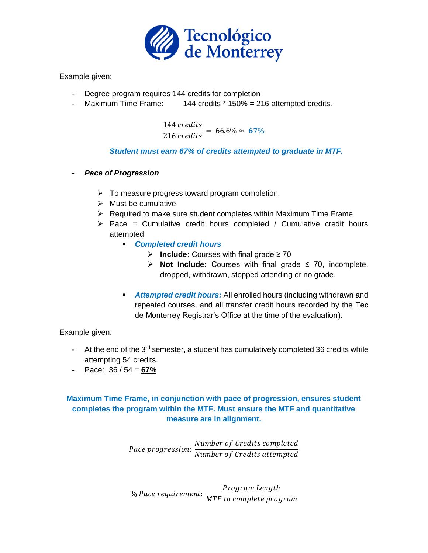

Example given:

- Degree program requires 144 credits for completion
- Maximum Time Frame: 144 credits \* 150% = 216 attempted credits.

144 credits  $\frac{216 \text{ events}}{216 \text{ credits}}$  = 66.6%  $\approx$  67%

### *Student must earn 67% of credits attempted to graduate in MTF.*

- *Pace of Progression*
	- $\triangleright$  To measure progress toward program completion.
	- ➢ Must be cumulative
	- ➢ Required to make sure student completes within Maximum Time Frame
	- $\triangleright$  Pace = Cumulative credit hours completed / Cumulative credit hours attempted
		- *Completed credit hours* 
			- ➢ **Include:** Courses with final grade ≥ 70
			- ➢ **Not Include:** Courses with final grade ≤ 70, incomplete, dropped, withdrawn, stopped attending or no grade.
		- *Attempted credit hours:* All enrolled hours (including withdrawn and repeated courses, and all transfer credit hours recorded by the Tec de Monterrey Registrar's Office at the time of the evaluation).

Example given:

- At the end of the  $3<sup>rd</sup>$  semester, a student has cumulatively completed 36 credits while attempting 54 credits.
- Pace: 36 / 54 = **67%**

# **Maximum Time Frame, in conjunction with pace of progression, ensures student completes the program within the MTF. Must ensure the MTF and quantitative measure are in alignment.**

Pace progression: Number of Credits completed Number of Credits attempted

% Pace requirement: Program Length MTF to complete program